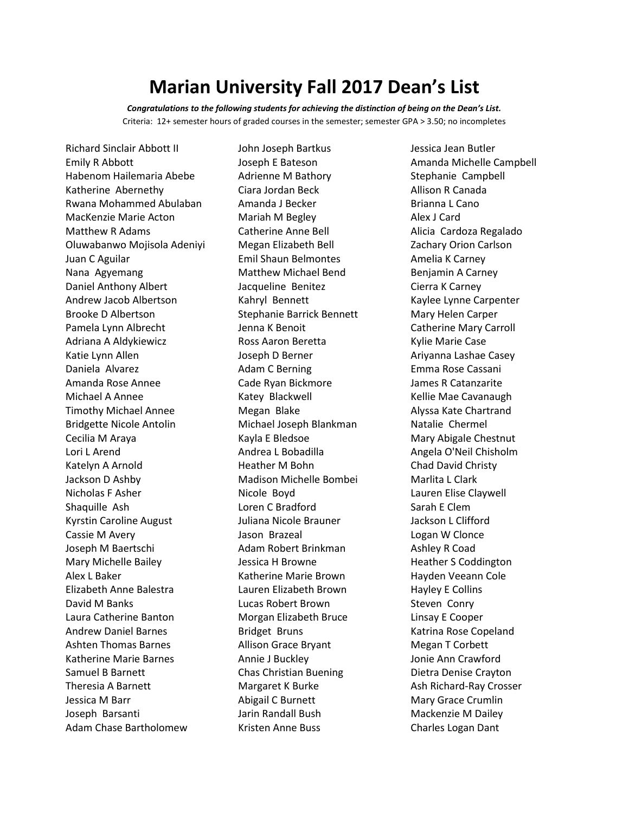## **Marian University Fall 2017 Dean's List**

*Congratulations to the following students for achieving the distinction of being on the Dean's List.* Criteria: 12+ semester hours of graded courses in the semester; semester GPA > 3.50; no incompletes

Richard Sinclair Abbott II Emily R Abbott Habenom Hailemaria Abebe Katherine Abernethy Rwana Mohammed Abulaban MacKenzie Marie Acton Matthew R Adams Oluwabanwo Mojisola Adeniyi Juan C Aguilar Nana Agyemang Daniel Anthony Albert Andrew Jacob Albertson Brooke D Albertson Pamela Lynn Albrecht Adriana A Aldykiewicz Katie Lynn Allen Daniela Alvarez Amanda Rose Annee Michael A Annee Timothy Michael Annee Bridgette Nicole Antolin Cecilia M Araya Lori L Arend Katelyn A Arnold Jackson D Ashby Nicholas F Asher Shaquille Ash Kyrstin Caroline August Cassie M Avery Joseph M Baertschi Mary Michelle Bailey Alex L Baker Elizabeth Anne Balestra David M Banks Laura Catherine Banton Andrew Daniel Barnes Ashten Thomas Barnes Katherine Marie Barnes Samuel B Barnett Theresia A Barnett Jessica M Barr Joseph Barsanti Adam Chase Bartholomew

John Joseph Bartkus Joseph E Bateson Adrienne M Bathory Ciara Jordan Beck Amanda J Becker Mariah M Begley Catherine Anne Bell Megan Elizabeth Bell Emil Shaun Belmontes Matthew Michael Bend Jacqueline Benitez Kahryl Bennett Stephanie Barrick Bennett Jenna K Benoit Ross Aaron Beretta Joseph D Berner Adam C Berning Cade Ryan Bickmore Katey Blackwell Megan Blake Michael Joseph Blankman Kayla E Bledsoe Andrea L Bobadilla Heather M Bohn Madison Michelle Bombei Nicole Boyd Loren C Bradford Juliana Nicole Brauner Jason Brazeal Adam Robert Brinkman Jessica H Browne Katherine Marie Brown Lauren Elizabeth Brown Lucas Robert Brown Morgan Elizabeth Bruce Bridget Bruns Allison Grace Bryant Annie J Buckley Chas Christian Buening Margaret K Burke Abigail C Burnett Jarin Randall Bush Kristen Anne Buss

Jessica Jean Butler Amanda Michelle Campbell Stephanie Campbell Allison R Canada Brianna L Cano Alex J Card Alicia Cardoza Regalado Zachary Orion Carlson Amelia K Carney Benjamin A Carney Cierra K Carney Kaylee Lynne Carpenter Mary Helen Carper Catherine Mary Carroll Kylie Marie Case Ariyanna Lashae Casey Emma Rose Cassani James R Catanzarite Kellie Mae Cavanaugh Alyssa Kate Chartrand Natalie Chermel Mary Abigale Chestnut Angela O'Neil Chisholm Chad David Christy Marlita L Clark Lauren Elise Claywell Sarah E Clem Jackson L Clifford Logan W Clonce Ashley R Coad Heather S Coddington Hayden Veeann Cole Hayley E Collins Steven Conry Linsay E Cooper Katrina Rose Copeland Megan T Corbett Jonie Ann Crawford Dietra Denise Crayton Ash Richard-Ray Crosser Mary Grace Crumlin Mackenzie M Dailey Charles Logan Dant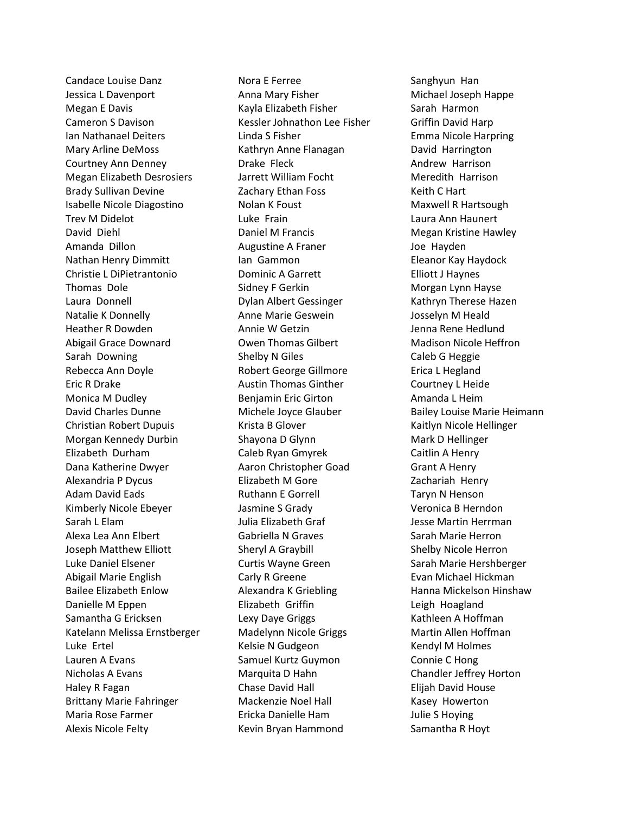Candace Louise Danz Jessica L Davenport Megan E Davis Cameron S Davison Ian Nathanael Deiters Mary Arline DeMoss Courtney Ann Denney Megan Elizabeth Desrosiers Brady Sullivan Devine Isabelle Nicole Diagostino Trev M Didelot David Diehl Amanda Dillon Nathan Henry Dimmitt Christie L DiPietrantonio Thomas Dole Laura Donnell Natalie K Donnelly Heather R Dowden Abigail Grace Downard Sarah Downing Rebecca Ann Doyle Eric R Drake Monica M Dudley David Charles Dunne Christian Robert Dupuis Morgan Kennedy Durbin Elizabeth Durham Dana Katherine Dwyer Alexandria P Dycus Adam David Eads Kimberly Nicole Ebeyer Sarah L Elam Alexa Lea Ann Elbert Joseph Matthew Elliott Luke Daniel Elsener Abigail Marie English Bailee Elizabeth Enlow Danielle M Eppen Samantha G Ericksen Katelann Melissa Ernstberger Luke Ertel Lauren A Evans Nicholas A Evans Haley R Fagan Brittany Marie Fahringer Maria Rose Farmer Alexis Nicole Felty

Nora E Ferree Anna Mary Fisher Kayla Elizabeth Fisher Kessler Johnathon Lee Fisher Linda S Fisher Kathryn Anne Flanagan Drake Fleck Jarrett William Focht Zachary Ethan Foss Nolan K Foust Luke Frain Daniel M Francis Augustine A Franer Ian Gammon Dominic A Garrett Sidney F Gerkin Dylan Albert Gessinger Anne Marie Geswein Annie W Getzin Owen Thomas Gilbert Shelby N Giles Robert George Gillmore Austin Thomas Ginther Benjamin Eric Girton Michele Joyce Glauber Krista B Glover Shayona D Glynn Caleb Ryan Gmyrek Aaron Christopher Goad Elizabeth M Gore Ruthann E Gorrell Jasmine S Grady Julia Elizabeth Graf Gabriella N Graves Sheryl A Graybill Curtis Wayne Green Carly R Greene Alexandra K Griebling Elizabeth Griffin Lexy Daye Griggs Madelynn Nicole Griggs Kelsie N Gudgeon Samuel Kurtz Guymon Marquita D Hahn Chase David Hall Mackenzie Noel Hall Ericka Danielle Ham Kevin Bryan Hammond

Sanghyun Han Michael Joseph Happe Sarah Harmon Griffin David Harp Emma Nicole Harpring David Harrington Andrew Harrison Meredith Harrison Keith C Hart Maxwell R Hartsough Laura Ann Haunert Megan Kristine Hawley Joe Hayden Eleanor Kay Haydock Elliott J Haynes Morgan Lynn Hayse Kathryn Therese Hazen Josselyn M Heald Jenna Rene Hedlund Madison Nicole Heffron Caleb G Heggie Erica L Hegland Courtney L Heide Amanda L Heim Bailey Louise Marie Heimann Kaitlyn Nicole Hellinger Mark D Hellinger Caitlin A Henry Grant A Henry Zachariah Henry Taryn N Henson Veronica B Herndon Jesse Martin Herrman Sarah Marie Herron Shelby Nicole Herron Sarah Marie Hershberger Evan Michael Hickman Hanna Mickelson Hinshaw Leigh Hoagland Kathleen A Hoffman Martin Allen Hoffman Kendyl M Holmes Connie C Hong Chandler Jeffrey Horton Elijah David House Kasey Howerton Julie S Hoying Samantha R Hoyt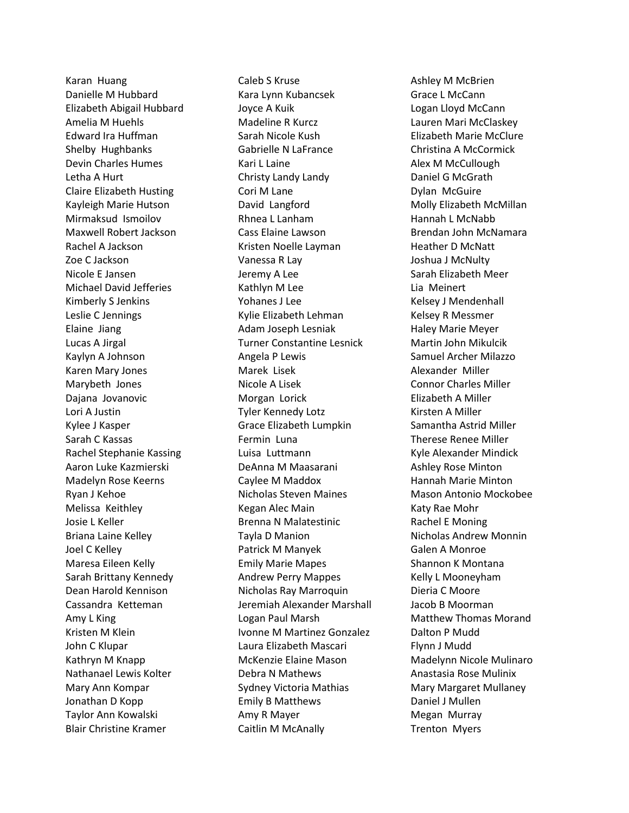Karan Huang Danielle M Hubbard Elizabeth Abigail Hubbard Amelia M Huehls Edward Ira Huffman Shelby Hughbanks Devin Charles Humes Letha A Hurt Claire Elizabeth Husting Kayleigh Marie Hutson Mirmaksud Ismoilov Maxwell Robert Jackson Rachel A Jackson Zoe C Jackson Nicole E Jansen Michael David Jefferies Kimberly S Jenkins Leslie C Jennings Elaine Jiang Lucas A Jirgal Kaylyn A Johnson Karen Mary Jones Marybeth Jones Dajana Jovanovic Lori A Justin Kylee J Kasper Sarah C Kassas Rachel Stephanie Kassing Aaron Luke Kazmierski Madelyn Rose Keerns Ryan J Kehoe Melissa Keithley Josie L Keller Briana Laine Kelley Joel C Kelley Maresa Eileen Kelly Sarah Brittany Kennedy Dean Harold Kennison Cassandra Ketteman Amy L King Kristen M Klein John C Klupar Kathryn M Knapp Nathanael Lewis Kolter Mary Ann Kompar Jonathan D Kopp Taylor Ann Kowalski Blair Christine Kramer

Caleb S Kruse Kara Lynn Kubancsek Joyce A Kuik Madeline R Kurcz Sarah Nicole Kush Gabrielle N LaFrance Kari L Laine Christy Landy Landy Cori M Lane David Langford Rhnea L Lanham Cass Elaine Lawson Kristen Noelle Layman Vanessa R Lay Jeremy A Lee Kathlyn M Lee Yohanes J Lee Kylie Elizabeth Lehman Adam Joseph Lesniak Turner Constantine Lesnick Angela P Lewis Marek Lisek Nicole A Lisek Morgan Lorick Tyler Kennedy Lotz Grace Elizabeth Lumpkin Fermin Luna Luisa Luttmann DeAnna M Maasarani Caylee M Maddox Nicholas Steven Maines Kegan Alec Main Brenna N Malatestinic Tayla D Manion Patrick M Manyek Emily Marie Mapes Andrew Perry Mappes Nicholas Ray Marroquin Jeremiah Alexander Marshall Logan Paul Marsh Ivonne M Martinez Gonzalez Laura Elizabeth Mascari McKenzie Elaine Mason Debra N Mathews Sydney Victoria Mathias Emily B Matthews Amy R Mayer Caitlin M McAnally

Ashley M McBrien Grace L McCann Logan Lloyd McCann Lauren Mari McClaskey Elizabeth Marie McClure Christina A McCormick Alex M McCullough Daniel G McGrath Dylan McGuire Molly Elizabeth McMillan Hannah L McNabb Brendan John McNamara Heather D McNatt Joshua J McNulty Sarah Elizabeth Meer Lia Meinert Kelsey J Mendenhall Kelsey R Messmer Haley Marie Meyer Martin John Mikulcik Samuel Archer Milazzo Alexander Miller Connor Charles Miller Elizabeth A Miller Kirsten A Miller Samantha Astrid Miller Therese Renee Miller Kyle Alexander Mindick Ashley Rose Minton Hannah Marie Minton Mason Antonio Mockobee Katy Rae Mohr Rachel E Moning Nicholas Andrew Monnin Galen A Monroe Shannon K Montana Kelly L Mooneyham Dieria C Moore Jacob B Moorman Matthew Thomas Morand Dalton P Mudd Flynn J Mudd Madelynn Nicole Mulinaro Anastasia Rose Mulinix Mary Margaret Mullaney Daniel J Mullen Megan Murray Trenton Myers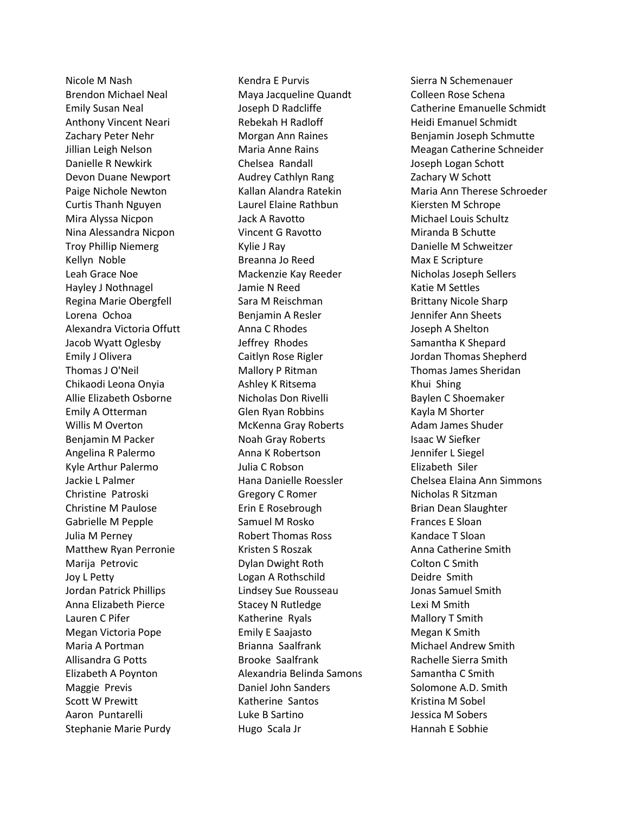Nicole M Nash Brendon Michael Neal Emily Susan Neal Anthony Vincent Neari Zachary Peter Nehr Jillian Leigh Nelson Danielle R Newkirk Devon Duane Newport Paige Nichole Newton Curtis Thanh Nguyen Mira Alyssa Nicpon Nina Alessandra Nicpon Troy Phillip Niemerg Kellyn Noble Leah Grace Noe Hayley J Nothnagel Regina Marie Obergfell Lorena Ochoa Alexandra Victoria Offutt Jacob Wyatt Oglesby Emily J Olivera Thomas J O'Neil Chikaodi Leona Onyia Allie Elizabeth Osborne Emily A Otterman Willis M Overton Benjamin M Packer Angelina R Palermo Kyle Arthur Palermo Jackie L Palmer Christine Patroski Christine M Paulose Gabrielle M Pepple Julia M Perney Matthew Ryan Perronie Marija Petrovic Joy L Petty Jordan Patrick Phillips Anna Elizabeth Pierce Lauren C Pifer Megan Victoria Pope Maria A Portman Allisandra G Potts Elizabeth A Poynton Maggie Previs Scott W Prewitt Aaron Puntarelli Stephanie Marie Purdy

Kendra E Purvis Maya Jacqueline Quandt Joseph D Radcliffe Rebekah H Radloff Morgan Ann Raines Maria Anne Rains Chelsea Randall Audrey Cathlyn Rang Kallan Alandra Ratekin Laurel Elaine Rathbun Jack A Ravotto Vincent G Ravotto Kylie J Ray Breanna Jo Reed Mackenzie Kay Reeder Jamie N Reed Sara M Reischman Benjamin A Resler Anna C Rhodes Jeffrey Rhodes Caitlyn Rose Rigler Mallory P Ritman Ashley K Ritsema Nicholas Don Rivelli Glen Ryan Robbins McKenna Gray Roberts Noah Gray Roberts Anna K Robertson Julia C Robson Hana Danielle Roessler Gregory C Romer Erin E Rosebrough Samuel M Rosko Robert Thomas Ross Kristen S Roszak Dylan Dwight Roth Logan A Rothschild Lindsey Sue Rousseau Stacey N Rutledge Katherine Ryals Emily E Saajasto Brianna Saalfrank Brooke Saalfrank Alexandria Belinda Samons Daniel John Sanders Katherine Santos Luke B Sartino Hugo Scala Jr

Sierra N Schemenauer Colleen Rose Schena Catherine Emanuelle Schmidt Heidi Emanuel Schmidt Benjamin Joseph Schmutte Meagan Catherine Schneider Joseph Logan Schott Zachary W Schott Maria Ann Therese Schroeder Kiersten M Schrope Michael Louis Schultz Miranda B Schutte Danielle M Schweitzer Max E Scripture Nicholas Joseph Sellers Katie M Settles Brittany Nicole Sharp Jennifer Ann Sheets Joseph A Shelton Samantha K Shepard Jordan Thomas Shepherd Thomas James Sheridan Khui Shing Baylen C Shoemaker Kayla M Shorter Adam James Shuder Isaac W Siefker Jennifer L Siegel Elizabeth Siler Chelsea Elaina Ann Simmons Nicholas R Sitzman Brian Dean Slaughter Frances E Sloan Kandace T Sloan Anna Catherine Smith Colton C Smith Deidre Smith Jonas Samuel Smith Lexi M Smith Mallory T Smith Megan K Smith Michael Andrew Smith Rachelle Sierra Smith Samantha C Smith Solomone A.D. Smith Kristina M Sobel Jessica M Sobers Hannah E Sobhie